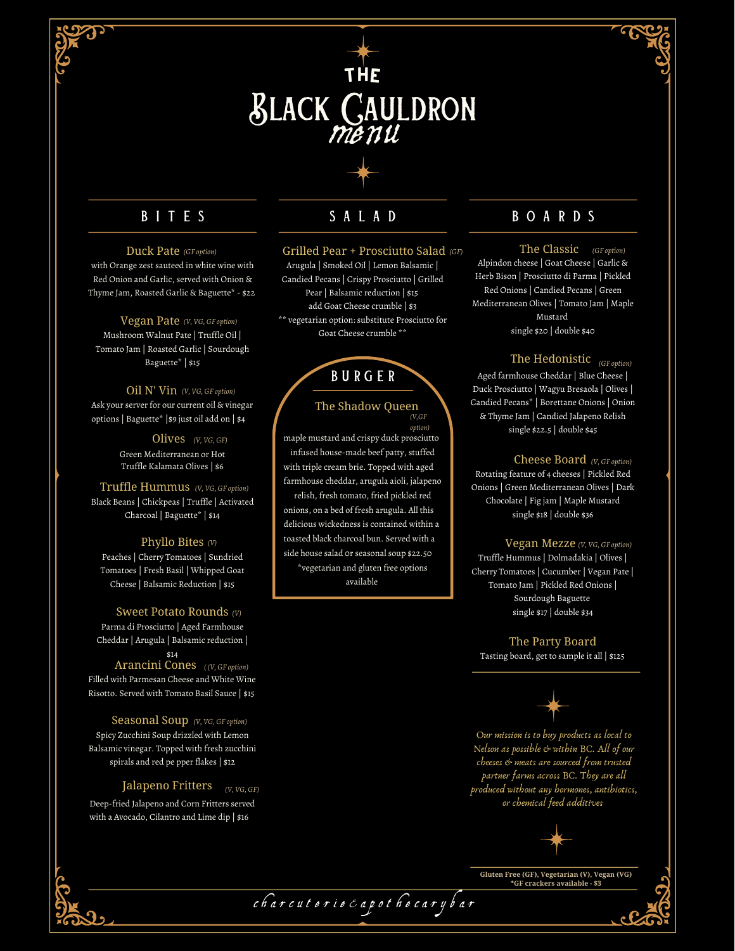

# B I T E S S A L A D

# *(GF option)* Duck Pate

with Orange zest sauteed in white wine with Red Onion and Garlic, served with Onion & Thyme Jam, Roasted Garlic & Baguette\* - \$22

Mushroom Walnut Pate | Truffle Oil | Tomato Jam | Roasted Garlic | Sourdough Baguette\* | \$15 *(V, VG, GF option)* Vegan Pate

# *(V, VG, GF option)* Oil N' Vin

Ask your server for our current oil & vinegar options | Baguette\* |\$9 just oil add on | \$4

> Green Mediterranean or Hot Truffle Kalamata Olives | \$6 *(V, VG, GF)* Olives

Black Beans | Chickpeas | Truffle | Activated Charcoal | Baguette\* | \$14 *(V, VG, GF option)* Truffle Hummus

## *(V)* Phyllo Bites

Peaches | Cherry Tomatoes | Sundried Tomatoes | Fresh Basil | Whipped Goat Cheese | Balsamic Reduction | \$15

## *(V)* Sweet Potato Rounds

Parma di Prosciutto | Aged Farmhouse Cheddar | Arugula | Balsamic reduction | \$14

# *( (V, GF option)* Arancini Cones

Filled with Parmesan Cheese and White Wine Risotto. Served with Tomato Basil Sauce | \$15

### Spicy Zucchini Soup drizzled with Lemon Seasonal Soup (V, VG, GF option)

Balsamic vinegar. Topped with fresh zucchini spirals and red pe pper flakes | \$12

# *(V, VG, GF)* Jalapeno Fritters

Deep-fried Jalapeno and Corn Fritters served with a Avocado, Cilantro and Lime dip | \$16

#### Grilled Pear + Prosciutto Salad

Arugula | Smoked Oil | Lemon Balsamic | Candied Pecans | Crispy Prosciutto | Grilled Pear | Balsamic reduction | \$15 add Goat Cheese crumble | \$3 \*\* vegetarian option: substitute Prosciutto for Goat Cheese crumble \*\*

# b u r g e r

## *(V,GF* The Shadow Queen

maple mustard and crispy duck prosciutto infused house-made beef patty, stuffed with triple cream brie. Topped with aged farmhouse cheddar, arugula aioli, jalapeno relish, fresh tomato, fried pickled red onions, on a bed of fresh arugula. All this delicious wickedness is contained within a toasted black charcoal bun. Served with a side house salad 0r seasonal soup \$22.50 \*vegetarian and gluten free options available *option)*

# B O A R D S

Alpindon cheese | Goat Cheese | Garlic & Herb Bison | Prosciutto di Parma | Pickled Red Onions | Candied Pecans | Green Mediterranean Olives | Tomato Jam | Maple Mustard single \$20 | double \$40 *(GF) (GF option)* The Classic

# *(GF option)* The Hedonistic

Aged farmhouse Cheddar | Blue Cheese | Duck Prosciutto | Wagyu Bresaola | Olives | Candied Pecans\* | Borettane Onions | Onion & Thyme Jam | Candied Jalapeno Relish single \$22.5 | double \$45

# *(V, GF option)* Cheese Board

Rotating feature of 4 cheeses | Pickled Red Onions | Green Mediterranean Olives | Dark Chocolate | Fig jam | Maple Mustard single \$18 | double \$36

#### $V$ egan Mezze (V, VG, GF option)

Truffle Hummus | Dolmadakia | Olives | Cherry Tomatoes | Cucumber | Vegan Pate | Tomato Jam | Pickled Red Onions | Sourdough Baguette single \$17 | double \$34

# Tasting board, get to sample it all | \$125 The Party Board



Our mission is to buy products as local to Nelson as possible & within BC. All of our cheeses & meats are sourced from trusted partner farms across BC. They are all produced without any hormones, antibiotics, or chemical feed additives



**Gluten Free (GF), Vegetarian (V), Vegan (VG)**

c h a r c u t e r i e & a p o t h e c a r y b a r

**\*GF crackers available - \$3**